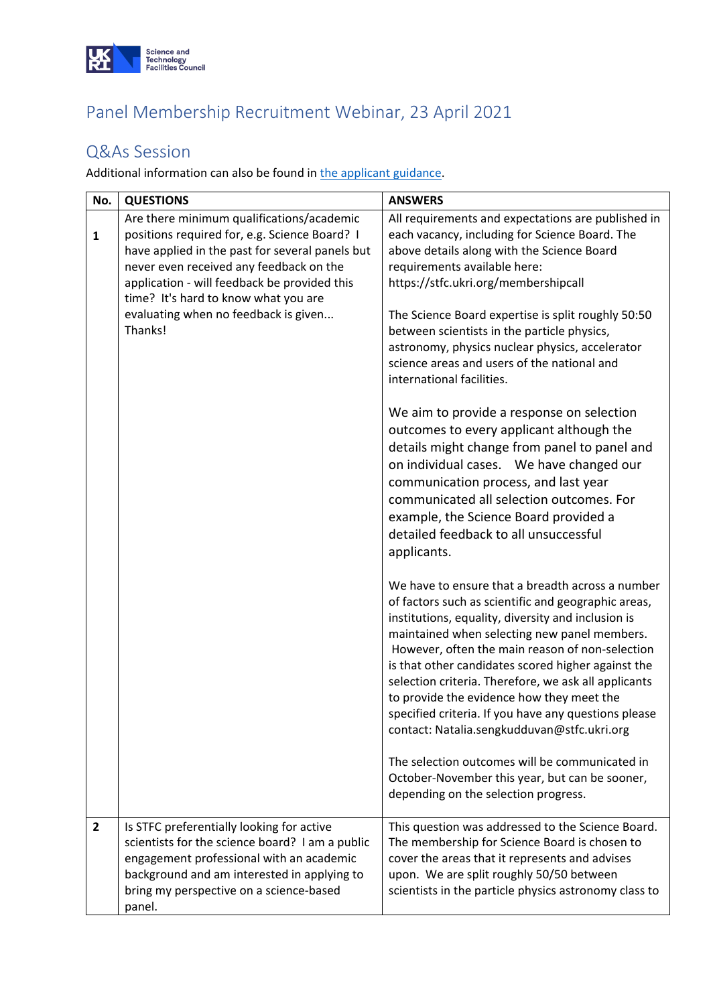

## Panel Membership Recruitment Webinar, 23 April 2021

## Q&As Session

Additional information can also be found in [the applicant guidance.](https://stfc.ukri.org/files/applicant-guidance-for-membership-to-the-stfc-advisory-bodies-and-peer-review-panels/?showMeta=2&ext=.pdf)

| No.            | <b>QUESTIONS</b>                                                                                                                                                                                                                                                                                                                    | <b>ANSWERS</b>                                                                                                                                                                                                                                                                                                                                                                                                                                                                                                                                                                                                                         |  |
|----------------|-------------------------------------------------------------------------------------------------------------------------------------------------------------------------------------------------------------------------------------------------------------------------------------------------------------------------------------|----------------------------------------------------------------------------------------------------------------------------------------------------------------------------------------------------------------------------------------------------------------------------------------------------------------------------------------------------------------------------------------------------------------------------------------------------------------------------------------------------------------------------------------------------------------------------------------------------------------------------------------|--|
| $\mathbf{1}$   | Are there minimum qualifications/academic<br>positions required for, e.g. Science Board? I<br>have applied in the past for several panels but<br>never even received any feedback on the<br>application - will feedback be provided this<br>time? It's hard to know what you are<br>evaluating when no feedback is given<br>Thanks! | All requirements and expectations are published in<br>each vacancy, including for Science Board. The<br>above details along with the Science Board<br>requirements available here:<br>https://stfc.ukri.org/membershipcall<br>The Science Board expertise is split roughly 50:50<br>between scientists in the particle physics,<br>astronomy, physics nuclear physics, accelerator<br>science areas and users of the national and<br>international facilities.                                                                                                                                                                         |  |
|                |                                                                                                                                                                                                                                                                                                                                     | We aim to provide a response on selection<br>outcomes to every applicant although the<br>details might change from panel to panel and<br>on individual cases. We have changed our<br>communication process, and last year<br>communicated all selection outcomes. For<br>example, the Science Board provided a<br>detailed feedback to all unsuccessful<br>applicants.                                                                                                                                                                                                                                                                 |  |
|                |                                                                                                                                                                                                                                                                                                                                     | We have to ensure that a breadth across a number<br>of factors such as scientific and geographic areas,<br>institutions, equality, diversity and inclusion is<br>maintained when selecting new panel members.<br>However, often the main reason of non-selection<br>is that other candidates scored higher against the<br>selection criteria. Therefore, we ask all applicants<br>to provide the evidence how they meet the<br>specified criteria. If you have any questions please<br>contact: Natalia.sengkudduvan@stfc.ukri.org<br>The selection outcomes will be communicated in<br>October-November this year, but can be sooner, |  |
|                |                                                                                                                                                                                                                                                                                                                                     | depending on the selection progress.                                                                                                                                                                                                                                                                                                                                                                                                                                                                                                                                                                                                   |  |
| $\overline{2}$ | Is STFC preferentially looking for active<br>scientists for the science board? I am a public<br>engagement professional with an academic<br>background and am interested in applying to<br>bring my perspective on a science-based<br>panel.                                                                                        | This question was addressed to the Science Board.<br>The membership for Science Board is chosen to<br>cover the areas that it represents and advises<br>upon. We are split roughly 50/50 between<br>scientists in the particle physics astronomy class to                                                                                                                                                                                                                                                                                                                                                                              |  |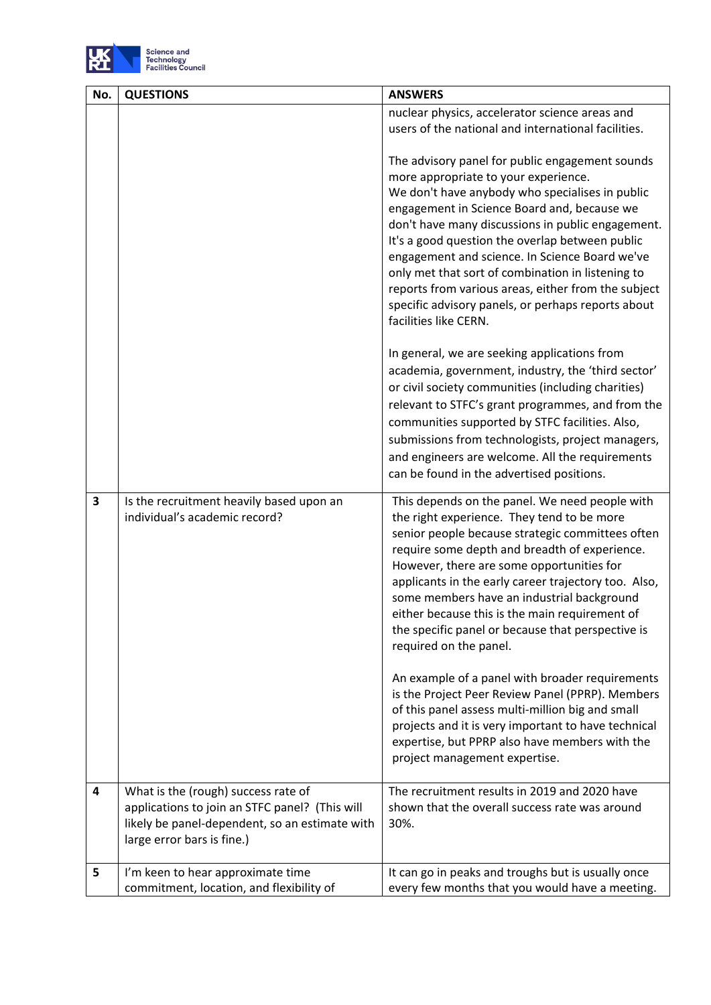

| No. | <b>QUESTIONS</b>                                                                                                                                                      | <b>ANSWERS</b>                                                                                                                                                                                                                                                                                                                                                                                                                                                                                                                                 |  |
|-----|-----------------------------------------------------------------------------------------------------------------------------------------------------------------------|------------------------------------------------------------------------------------------------------------------------------------------------------------------------------------------------------------------------------------------------------------------------------------------------------------------------------------------------------------------------------------------------------------------------------------------------------------------------------------------------------------------------------------------------|--|
|     |                                                                                                                                                                       | nuclear physics, accelerator science areas and<br>users of the national and international facilities.                                                                                                                                                                                                                                                                                                                                                                                                                                          |  |
|     |                                                                                                                                                                       | The advisory panel for public engagement sounds<br>more appropriate to your experience.<br>We don't have anybody who specialises in public<br>engagement in Science Board and, because we<br>don't have many discussions in public engagement.<br>It's a good question the overlap between public<br>engagement and science. In Science Board we've<br>only met that sort of combination in listening to<br>reports from various areas, either from the subject<br>specific advisory panels, or perhaps reports about<br>facilities like CERN. |  |
|     |                                                                                                                                                                       | In general, we are seeking applications from<br>academia, government, industry, the 'third sector'<br>or civil society communities (including charities)<br>relevant to STFC's grant programmes, and from the<br>communities supported by STFC facilities. Also,<br>submissions from technologists, project managers,<br>and engineers are welcome. All the requirements<br>can be found in the advertised positions.                                                                                                                          |  |
| 3   | Is the recruitment heavily based upon an<br>individual's academic record?                                                                                             | This depends on the panel. We need people with<br>the right experience. They tend to be more<br>senior people because strategic committees often<br>require some depth and breadth of experience.<br>However, there are some opportunities for<br>applicants in the early career trajectory too. Also,<br>some members have an industrial background<br>either because this is the main requirement of<br>the specific panel or because that perspective is<br>required on the panel.                                                          |  |
|     |                                                                                                                                                                       | An example of a panel with broader requirements<br>is the Project Peer Review Panel (PPRP). Members<br>of this panel assess multi-million big and small<br>projects and it is very important to have technical<br>expertise, but PPRP also have members with the<br>project management expertise.                                                                                                                                                                                                                                              |  |
| 4   | What is the (rough) success rate of<br>applications to join an STFC panel? (This will<br>likely be panel-dependent, so an estimate with<br>large error bars is fine.) | The recruitment results in 2019 and 2020 have<br>shown that the overall success rate was around<br>30%.                                                                                                                                                                                                                                                                                                                                                                                                                                        |  |
| 5   | I'm keen to hear approximate time<br>commitment, location, and flexibility of                                                                                         | It can go in peaks and troughs but is usually once<br>every few months that you would have a meeting.                                                                                                                                                                                                                                                                                                                                                                                                                                          |  |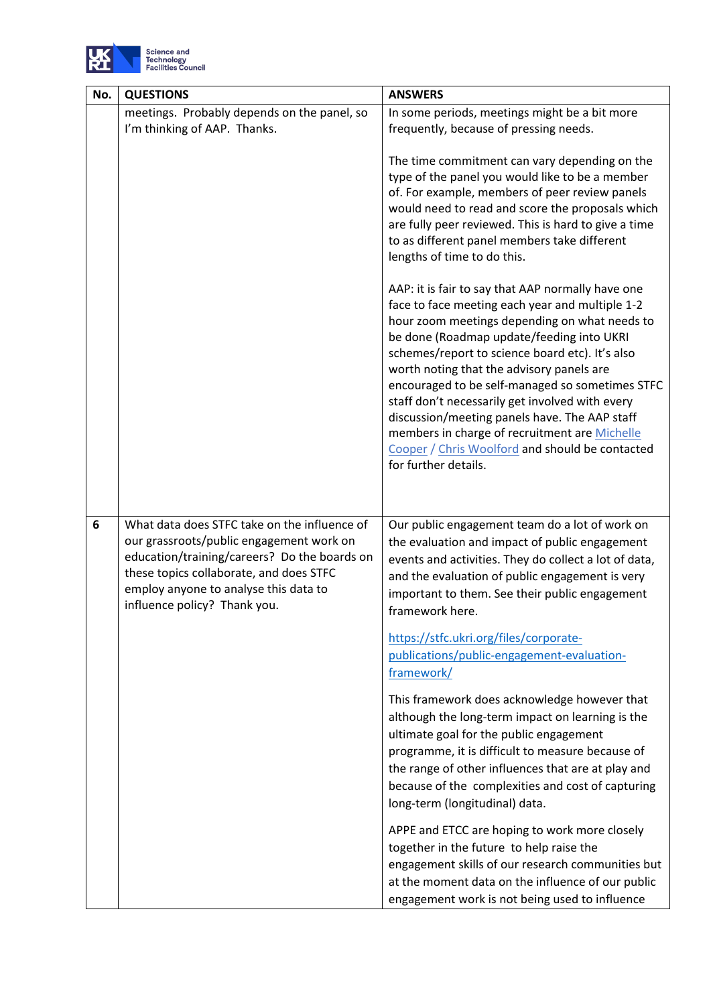

| No. | <b>QUESTIONS</b>                                                                                                                                                                                                                                             | <b>ANSWERS</b>                                                                                                                                                                                                                                                                                                                                                                                                                                                                                                                                                                        |
|-----|--------------------------------------------------------------------------------------------------------------------------------------------------------------------------------------------------------------------------------------------------------------|---------------------------------------------------------------------------------------------------------------------------------------------------------------------------------------------------------------------------------------------------------------------------------------------------------------------------------------------------------------------------------------------------------------------------------------------------------------------------------------------------------------------------------------------------------------------------------------|
|     | meetings. Probably depends on the panel, so<br>I'm thinking of AAP. Thanks.                                                                                                                                                                                  | In some periods, meetings might be a bit more<br>frequently, because of pressing needs.                                                                                                                                                                                                                                                                                                                                                                                                                                                                                               |
|     |                                                                                                                                                                                                                                                              | The time commitment can vary depending on the<br>type of the panel you would like to be a member<br>of. For example, members of peer review panels<br>would need to read and score the proposals which<br>are fully peer reviewed. This is hard to give a time<br>to as different panel members take different<br>lengths of time to do this.                                                                                                                                                                                                                                         |
|     |                                                                                                                                                                                                                                                              | AAP: it is fair to say that AAP normally have one<br>face to face meeting each year and multiple 1-2<br>hour zoom meetings depending on what needs to<br>be done (Roadmap update/feeding into UKRI<br>schemes/report to science board etc). It's also<br>worth noting that the advisory panels are<br>encouraged to be self-managed so sometimes STFC<br>staff don't necessarily get involved with every<br>discussion/meeting panels have. The AAP staff<br>members in charge of recruitment are Michelle<br>Cooper / Chris Woolford and should be contacted<br>for further details. |
|     |                                                                                                                                                                                                                                                              |                                                                                                                                                                                                                                                                                                                                                                                                                                                                                                                                                                                       |
| 6   | What data does STFC take on the influence of<br>our grassroots/public engagement work on<br>education/training/careers? Do the boards on<br>these topics collaborate, and does STFC<br>employ anyone to analyse this data to<br>influence policy? Thank you. | Our public engagement team do a lot of work on<br>the evaluation and impact of public engagement<br>events and activities. They do collect a lot of data,<br>and the evaluation of public engagement is very<br>important to them. See their public engagement<br>framework here.                                                                                                                                                                                                                                                                                                     |
|     |                                                                                                                                                                                                                                                              | https://stfc.ukri.org/files/corporate-<br>publications/public-engagement-evaluation-<br>framework/                                                                                                                                                                                                                                                                                                                                                                                                                                                                                    |
|     |                                                                                                                                                                                                                                                              | This framework does acknowledge however that<br>although the long-term impact on learning is the<br>ultimate goal for the public engagement<br>programme, it is difficult to measure because of<br>the range of other influences that are at play and<br>because of the complexities and cost of capturing<br>long-term (longitudinal) data.                                                                                                                                                                                                                                          |
|     |                                                                                                                                                                                                                                                              | APPE and ETCC are hoping to work more closely<br>together in the future to help raise the<br>engagement skills of our research communities but<br>at the moment data on the influence of our public<br>engagement work is not being used to influence                                                                                                                                                                                                                                                                                                                                 |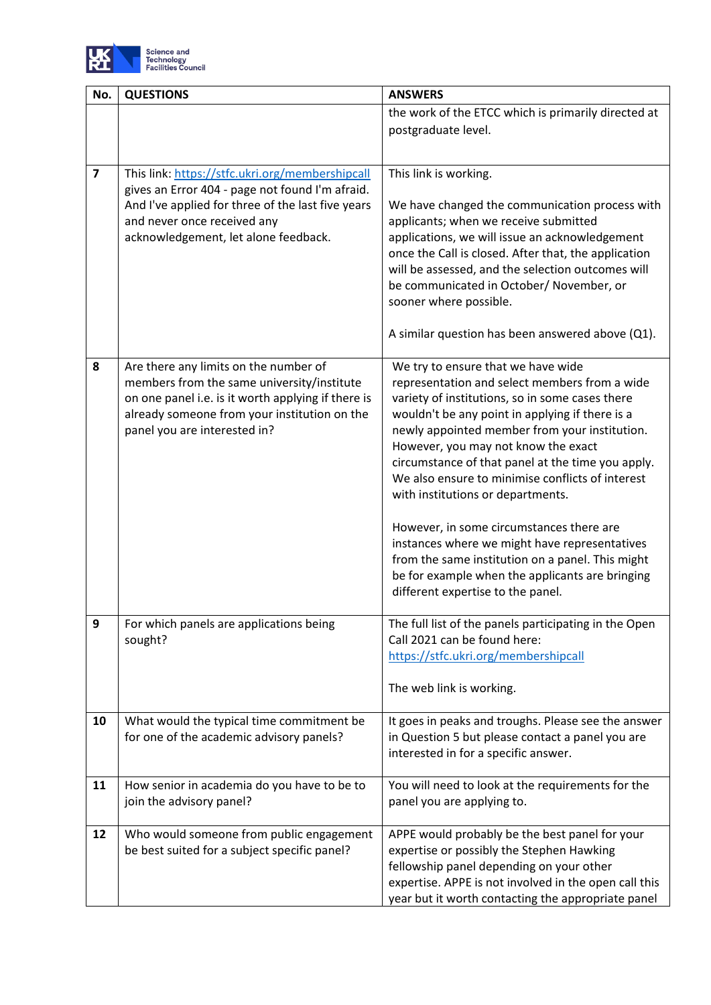

| No.                     | <b>QUESTIONS</b>                                                                                 | <b>ANSWERS</b>                                                                                   |  |
|-------------------------|--------------------------------------------------------------------------------------------------|--------------------------------------------------------------------------------------------------|--|
|                         |                                                                                                  | the work of the ETCC which is primarily directed at                                              |  |
|                         |                                                                                                  | postgraduate level.                                                                              |  |
|                         |                                                                                                  |                                                                                                  |  |
| $\overline{\mathbf{z}}$ | This link: https://stfc.ukri.org/membershipcall                                                  | This link is working.                                                                            |  |
|                         | gives an Error 404 - page not found I'm afraid.                                                  |                                                                                                  |  |
|                         | And I've applied for three of the last five years                                                | We have changed the communication process with                                                   |  |
|                         | and never once received any<br>acknowledgement, let alone feedback.                              | applicants; when we receive submitted<br>applications, we will issue an acknowledgement          |  |
|                         |                                                                                                  | once the Call is closed. After that, the application                                             |  |
|                         |                                                                                                  | will be assessed, and the selection outcomes will                                                |  |
|                         |                                                                                                  | be communicated in October/ November, or                                                         |  |
|                         |                                                                                                  | sooner where possible.                                                                           |  |
|                         |                                                                                                  | A similar question has been answered above (Q1).                                                 |  |
|                         |                                                                                                  |                                                                                                  |  |
| 8                       | Are there any limits on the number of                                                            | We try to ensure that we have wide                                                               |  |
|                         | members from the same university/institute<br>on one panel i.e. is it worth applying if there is | representation and select members from a wide<br>variety of institutions, so in some cases there |  |
|                         | already someone from your institution on the                                                     | wouldn't be any point in applying if there is a                                                  |  |
|                         | panel you are interested in?                                                                     | newly appointed member from your institution.                                                    |  |
|                         |                                                                                                  | However, you may not know the exact                                                              |  |
|                         |                                                                                                  | circumstance of that panel at the time you apply.                                                |  |
|                         |                                                                                                  | We also ensure to minimise conflicts of interest<br>with institutions or departments.            |  |
|                         |                                                                                                  |                                                                                                  |  |
|                         |                                                                                                  | However, in some circumstances there are                                                         |  |
|                         |                                                                                                  | instances where we might have representatives                                                    |  |
|                         |                                                                                                  | from the same institution on a panel. This might                                                 |  |
|                         |                                                                                                  | be for example when the applicants are bringing<br>different expertise to the panel.             |  |
|                         |                                                                                                  |                                                                                                  |  |
| 9                       | For which panels are applications being                                                          | The full list of the panels participating in the Open                                            |  |
|                         | sought?                                                                                          | Call 2021 can be found here:                                                                     |  |
|                         |                                                                                                  | https://stfc.ukri.org/membershipcall                                                             |  |
|                         |                                                                                                  | The web link is working.                                                                         |  |
| 10                      | What would the typical time commitment be                                                        | It goes in peaks and troughs. Please see the answer                                              |  |
|                         | for one of the academic advisory panels?                                                         | in Question 5 but please contact a panel you are                                                 |  |
|                         |                                                                                                  | interested in for a specific answer.                                                             |  |
| 11                      | How senior in academia do you have to be to                                                      | You will need to look at the requirements for the                                                |  |
|                         | join the advisory panel?                                                                         | panel you are applying to.                                                                       |  |
|                         |                                                                                                  |                                                                                                  |  |
| 12                      | Who would someone from public engagement<br>be best suited for a subject specific panel?         | APPE would probably be the best panel for your<br>expertise or possibly the Stephen Hawking      |  |
|                         |                                                                                                  | fellowship panel depending on your other                                                         |  |
|                         |                                                                                                  | expertise. APPE is not involved in the open call this                                            |  |
|                         |                                                                                                  | year but it worth contacting the appropriate panel                                               |  |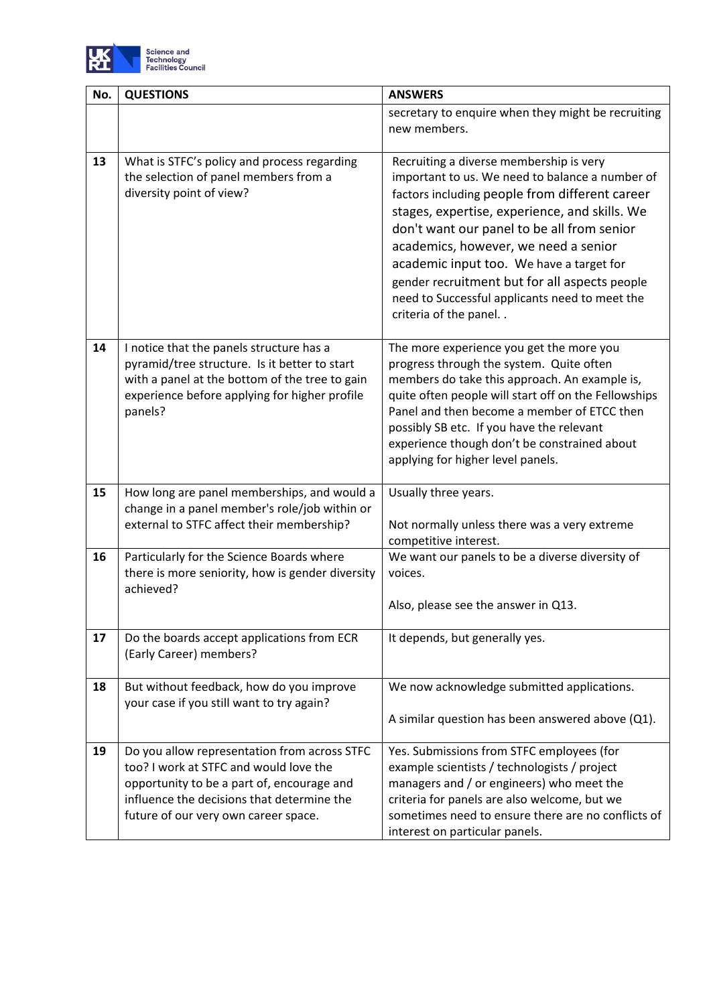

| No. | <b>QUESTIONS</b>                                                                                | <b>ANSWERS</b>                                                                                    |  |
|-----|-------------------------------------------------------------------------------------------------|---------------------------------------------------------------------------------------------------|--|
|     |                                                                                                 | secretary to enquire when they might be recruiting                                                |  |
|     |                                                                                                 | new members.                                                                                      |  |
|     |                                                                                                 |                                                                                                   |  |
| 13  | What is STFC's policy and process regarding                                                     | Recruiting a diverse membership is very                                                           |  |
|     | the selection of panel members from a<br>diversity point of view?                               | important to us. We need to balance a number of<br>factors including people from different career |  |
|     |                                                                                                 | stages, expertise, experience, and skills. We                                                     |  |
|     |                                                                                                 | don't want our panel to be all from senior                                                        |  |
|     |                                                                                                 | academics, however, we need a senior                                                              |  |
|     |                                                                                                 | academic input too. We have a target for                                                          |  |
|     |                                                                                                 | gender recruitment but for all aspects people                                                     |  |
|     |                                                                                                 | need to Successful applicants need to meet the                                                    |  |
|     |                                                                                                 | criteria of the panel                                                                             |  |
|     |                                                                                                 |                                                                                                   |  |
| 14  | I notice that the panels structure has a                                                        | The more experience you get the more you                                                          |  |
|     | pyramid/tree structure. Is it better to start<br>with a panel at the bottom of the tree to gain | progress through the system. Quite often<br>members do take this approach. An example is,         |  |
|     | experience before applying for higher profile                                                   | quite often people will start off on the Fellowships                                              |  |
|     | panels?                                                                                         | Panel and then become a member of ETCC then                                                       |  |
|     |                                                                                                 | possibly SB etc. If you have the relevant                                                         |  |
|     |                                                                                                 | experience though don't be constrained about                                                      |  |
|     |                                                                                                 | applying for higher level panels.                                                                 |  |
| 15  | How long are panel memberships, and would a                                                     | Usually three years.                                                                              |  |
|     | change in a panel member's role/job within or                                                   |                                                                                                   |  |
|     | external to STFC affect their membership?                                                       | Not normally unless there was a very extreme                                                      |  |
|     |                                                                                                 | competitive interest.                                                                             |  |
| 16  | Particularly for the Science Boards where                                                       | We want our panels to be a diverse diversity of                                                   |  |
|     | there is more seniority, how is gender diversity                                                | voices.                                                                                           |  |
|     | achieved?                                                                                       | Also, please see the answer in Q13.                                                               |  |
|     |                                                                                                 |                                                                                                   |  |
| 17  | Do the boards accept applications from ECR                                                      | It depends, but generally yes.                                                                    |  |
|     | (Early Career) members?                                                                         |                                                                                                   |  |
|     |                                                                                                 |                                                                                                   |  |
| 18  | But without feedback, how do you improve                                                        | We now acknowledge submitted applications.                                                        |  |
|     | your case if you still want to try again?                                                       | A similar question has been answered above (Q1).                                                  |  |
|     |                                                                                                 |                                                                                                   |  |
| 19  | Do you allow representation from across STFC                                                    | Yes. Submissions from STFC employees (for                                                         |  |
|     | too? I work at STFC and would love the                                                          | example scientists / technologists / project                                                      |  |
|     | opportunity to be a part of, encourage and                                                      | managers and / or engineers) who meet the                                                         |  |
|     | influence the decisions that determine the                                                      | criteria for panels are also welcome, but we                                                      |  |
|     | future of our very own career space.                                                            | sometimes need to ensure there are no conflicts of                                                |  |
|     |                                                                                                 | interest on particular panels.                                                                    |  |